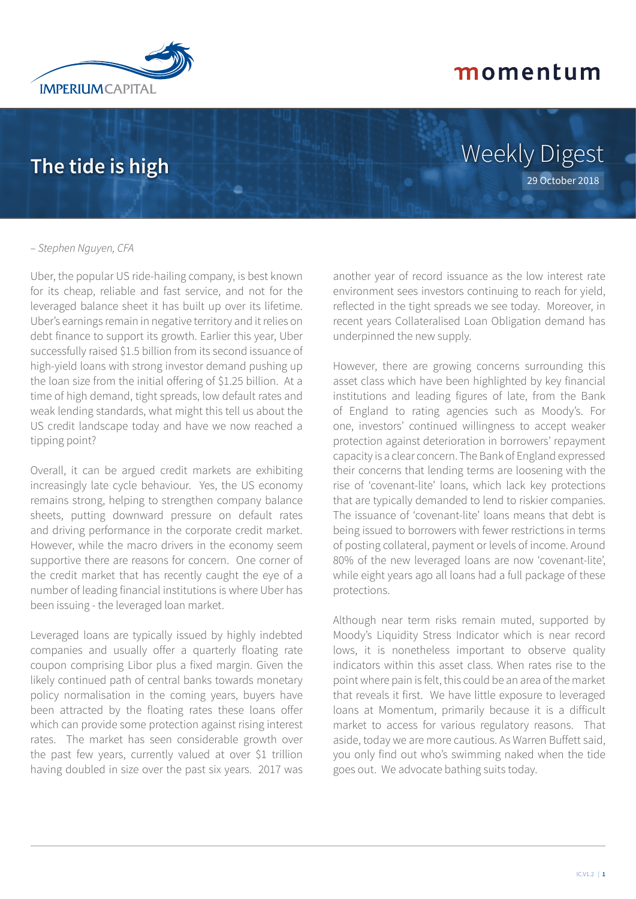

# **The tide is high**



#### – *Stephen Nguyen, CFA*

Uber, the popular US ride-hailing company, is best known for its cheap, reliable and fast service, and not for the leveraged balance sheet it has built up over its lifetime. Uber's earnings remain in negative territory and it relies on debt finance to support its growth. Earlier this year, Uber successfully raised \$1.5 billion from its second issuance of high-yield loans with strong investor demand pushing up the loan size from the initial offering of \$1.25 billion. At a time of high demand, tight spreads, low default rates and weak lending standards, what might this tell us about the US credit landscape today and have we now reached a tipping point?

Overall, it can be argued credit markets are exhibiting increasingly late cycle behaviour. Yes, the US economy remains strong, helping to strengthen company balance sheets, putting downward pressure on default rates and driving performance in the corporate credit market. However, while the macro drivers in the economy seem supportive there are reasons for concern. One corner of the credit market that has recently caught the eye of a number of leading financial institutions is where Uber has been issuing - the leveraged loan market.

Leveraged loans are typically issued by highly indebted companies and usually offer a quarterly floating rate coupon comprising Libor plus a fixed margin. Given the likely continued path of central banks towards monetary policy normalisation in the coming years, buyers have been attracted by the floating rates these loans offer which can provide some protection against rising interest rates. The market has seen considerable growth over the past few years, currently valued at over \$1 trillion having doubled in size over the past six years. 2017 was another year of record issuance as the low interest rate environment sees investors continuing to reach for yield, reflected in the tight spreads we see today. Moreover, in recent years Collateralised Loan Obligation demand has underpinned the new supply.

However, there are growing concerns surrounding this asset class which have been highlighted by key financial institutions and leading figures of late, from the Bank of England to rating agencies such as Moody's. For one, investors' continued willingness to accept weaker protection against deterioration in borrowers' repayment capacity is a clear concern. The Bank of England expressed their concerns that lending terms are loosening with the rise of 'covenant-lite' loans, which lack key protections that are typically demanded to lend to riskier companies. The issuance of 'covenant-lite' loans means that debt is being issued to borrowers with fewer restrictions in terms of posting collateral, payment or levels of income. Around 80% of the new leveraged loans are now 'covenant-lite', while eight years ago all loans had a full package of these protections.

Although near term risks remain muted, supported by Moody's Liquidity Stress Indicator which is near record lows, it is nonetheless important to observe quality indicators within this asset class. When rates rise to the point where pain is felt, this could be an area of the market that reveals it first. We have little exposure to leveraged loans at Momentum, primarily because it is a difficult market to access for various regulatory reasons. That aside, today we are more cautious. As Warren Buffett said, you only find out who's swimming naked when the tide goes out. We advocate bathing suits today.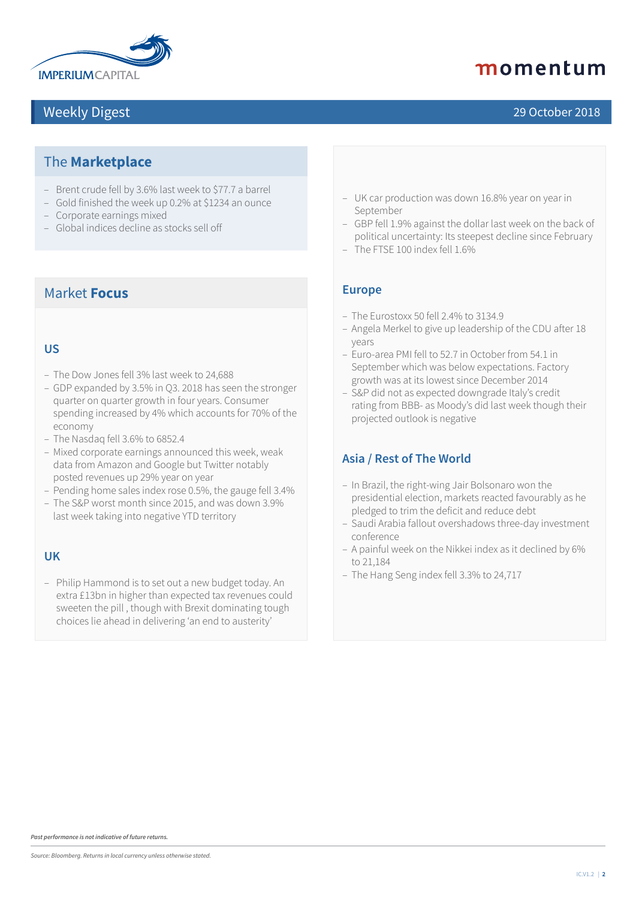

### Weekly Digest 29 October 2018

## momentum

### The **Marketplace**

- Brent crude fell by 3.6% last week to \$77.7 a barrel
- Gold finished the week up 0.2% at \$1234 an ounce
- Corporate earnings mixed
- Global indices decline as stocks sell off

#### Market **Focus**

#### **US**

- The Dow Jones fell 3% last week to 24,688
- GDP expanded by 3.5% in Q3. 2018 has seen the stronger quarter on quarter growth in four years. Consumer spending increased by 4% which accounts for 70% of the economy
- The Nasdaq fell 3.6% to 6852.4
- Mixed corporate earnings announced this week, weak data from Amazon and Google but Twitter notably posted revenues up 29% year on year
- Pending home sales index rose 0.5%, the gauge fell 3.4%
- The S&P worst month since 2015, and was down 3.9% last week taking into negative YTD territory

#### **UK**

– Philip Hammond is to set out a new budget today. An extra £13bn in higher than expected tax revenues could sweeten the pill , though with Brexit dominating tough choices lie ahead in delivering 'an end to austerity'

- UK car production was down 16.8% year on year in September
- GBP fell 1.9% against the dollar last week on the back of political uncertainty: Its steepest decline since February
- The FTSE 100 index fell 1.6%

#### **Europe**

- The Eurostoxx 50 fell 2.4% to 3134.9
- Angela Merkel to give up leadership of the CDU after 18 years
- Euro-area PMI fell to 52.7 in October from 54.1 in September which was below expectations. Factory growth was at its lowest since December 2014
- S&P did not as expected downgrade Italy's credit rating from BBB- as Moody's did last week though their projected outlook is negative

#### **Asia / Rest of The World**

- In Brazil, the right-wing Jair Bolsonaro won the presidential election, markets reacted favourably as he pledged to trim the deficit and reduce debt
- Saudi Arabia fallout overshadows three-day investment conference
- A painful week on the Nikkei index as it declined by 6% to 21,184
- The Hang Seng index fell 3.3% to 24,717

*Past performance is not indicative of future returns.*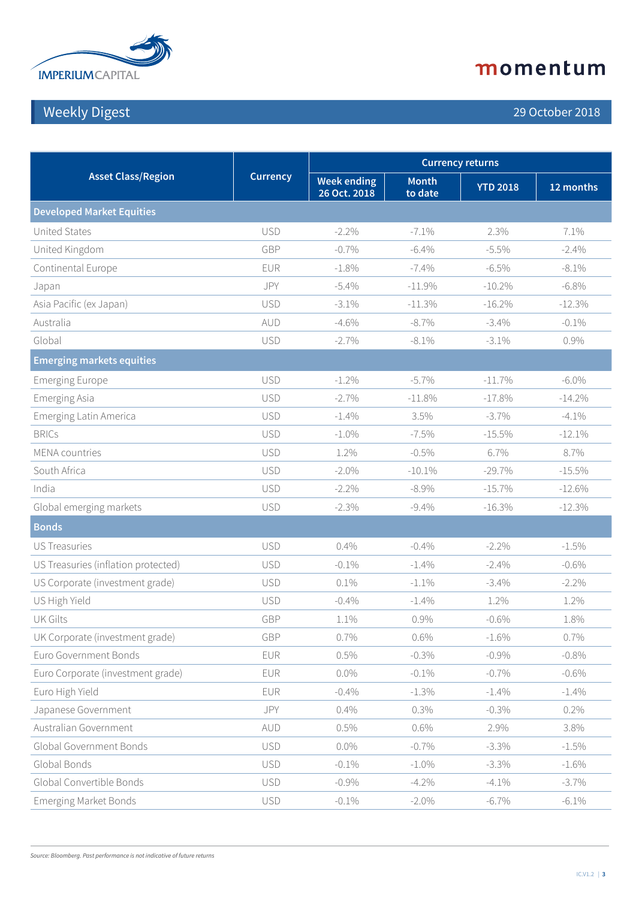

## Weekly Digest 29 October 2018

| <b>Asset Class/Region</b>           | <b>Currency</b> | <b>Currency returns</b>            |                         |                 |           |  |
|-------------------------------------|-----------------|------------------------------------|-------------------------|-----------------|-----------|--|
|                                     |                 | <b>Week ending</b><br>26 Oct. 2018 | <b>Month</b><br>to date | <b>YTD 2018</b> | 12 months |  |
| <b>Developed Market Equities</b>    |                 |                                    |                         |                 |           |  |
| <b>United States</b>                | <b>USD</b>      | $-2.2%$                            | $-7.1\%$                | 2.3%            | 7.1%      |  |
| United Kingdom                      | GBP             | $-0.7%$                            | $-6.4\%$                | $-5.5%$         | $-2.4%$   |  |
| Continental Europe                  | <b>EUR</b>      | $-1.8%$                            | $-7.4\%$                | $-6.5%$         | $-8.1\%$  |  |
| Japan                               | JPY             | $-5.4\%$                           | $-11.9%$                | $-10.2\%$       | $-6.8\%$  |  |
| Asia Pacific (ex Japan)             | <b>USD</b>      | $-3.1\%$                           | $-11.3%$                | $-16.2%$        | $-12.3%$  |  |
| Australia                           | <b>AUD</b>      | $-4.6%$                            | $-8.7\%$                | $-3.4\%$        | $-0.1\%$  |  |
| Global                              | <b>USD</b>      | $-2.7%$                            | $-8.1\%$                | $-3.1\%$        | 0.9%      |  |
| <b>Emerging markets equities</b>    |                 |                                    |                         |                 |           |  |
| <b>Emerging Europe</b>              | <b>USD</b>      | $-1.2%$                            | $-5.7%$                 | $-11.7%$        | $-6.0\%$  |  |
| Emerging Asia                       | <b>USD</b>      | $-2.7%$                            | $-11.8%$                | $-17.8%$        | $-14.2%$  |  |
| <b>Emerging Latin America</b>       | <b>USD</b>      | $-1.4\%$                           | 3.5%                    | $-3.7%$         | $-4.1\%$  |  |
| <b>BRICs</b>                        | <b>USD</b>      | $-1.0\%$                           | $-7.5%$                 | $-15.5%$        | $-12.1%$  |  |
| <b>MENA</b> countries               | <b>USD</b>      | 1.2%                               | $-0.5\%$                | 6.7%            | 8.7%      |  |
| South Africa                        | <b>USD</b>      | $-2.0\%$                           | $-10.1%$                | $-29.7%$        | $-15.5\%$ |  |
| India                               | <b>USD</b>      | $-2.2%$                            | $-8.9%$                 | $-15.7\%$       | $-12.6%$  |  |
| Global emerging markets             | <b>USD</b>      | $-2.3%$                            | $-9.4%$                 | $-16.3%$        | $-12.3%$  |  |
| <b>Bonds</b>                        |                 |                                    |                         |                 |           |  |
| <b>US Treasuries</b>                | <b>USD</b>      | 0.4%                               | $-0.4%$                 | $-2.2\%$        | $-1.5%$   |  |
| US Treasuries (inflation protected) | <b>USD</b>      | $-0.1\%$                           | $-1.4\%$                | $-2.4%$         | $-0.6%$   |  |
| US Corporate (investment grade)     | <b>USD</b>      | 0.1%                               | $-1.1\%$                | $-3.4%$         | $-2.2%$   |  |
| US High Yield                       | <b>USD</b>      | $-0.4%$                            | $-1.4\%$                | 1.2%            | 1.2%      |  |
| <b>UK Gilts</b>                     | GBP             | 1.1%                               | 0.9%                    | $-0.6%$         | 1.8%      |  |
| UK Corporate (investment grade)     | GBP             | 0.7%                               | 0.6%                    | $-1.6%$         | 0.7%      |  |
| Euro Government Bonds               | <b>EUR</b>      | 0.5%                               | $-0.3%$                 | $-0.9%$         | $-0.8%$   |  |
| Euro Corporate (investment grade)   | EUR             | $0.0\%$                            | $-0.1\%$                | $-0.7%$         | $-0.6%$   |  |
| Euro High Yield                     | EUR             | $-0.4%$                            | $-1.3%$                 | $-1.4\%$        | $-1.4\%$  |  |
| Japanese Government                 | JPY             | 0.4%                               | 0.3%                    | $-0.3%$         | 0.2%      |  |
| Australian Government               | AUD             | 0.5%                               | 0.6%                    | 2.9%            | 3.8%      |  |
| Global Government Bonds             | <b>USD</b>      | $0.0\%$                            | $-0.7%$                 | $-3.3\%$        | $-1.5\%$  |  |
| Global Bonds                        | <b>USD</b>      | $-0.1\%$                           | $-1.0\%$                | $-3.3\%$        | $-1.6%$   |  |
| Global Convertible Bonds            | <b>USD</b>      | $-0.9%$                            | $-4.2\%$                | $-4.1\%$        | $-3.7%$   |  |
| <b>Emerging Market Bonds</b>        | <b>USD</b>      | $-0.1\%$                           | $-2.0\%$                | $-6.7\%$        | $-6.1\%$  |  |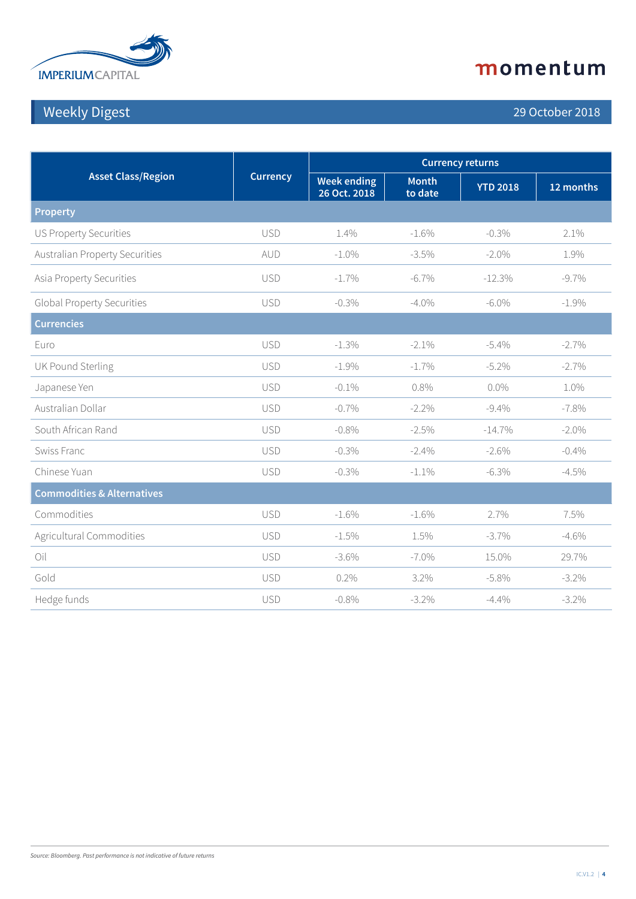

## Weekly Digest 29 October 2018

| <b>Asset Class/Region</b>             | <b>Currency</b> | <b>Currency returns</b>            |                         |                 |           |
|---------------------------------------|-----------------|------------------------------------|-------------------------|-----------------|-----------|
|                                       |                 | <b>Week ending</b><br>26 Oct. 2018 | <b>Month</b><br>to date | <b>YTD 2018</b> | 12 months |
| <b>Property</b>                       |                 |                                    |                         |                 |           |
| <b>US Property Securities</b>         | <b>USD</b>      | 1.4%                               | $-1.6%$                 | $-0.3%$         | 2.1%      |
| <b>Australian Property Securities</b> | AUD             | $-1.0\%$                           | $-3.5%$                 | $-2.0\%$        | 1.9%      |
| Asia Property Securities              | <b>USD</b>      | $-1.7\%$                           | $-6.7\%$                | $-12.3%$        | $-9.7\%$  |
| <b>Global Property Securities</b>     | <b>USD</b>      | $-0.3%$                            | $-4.0\%$                | $-6.0\%$        | $-1.9\%$  |
| <b>Currencies</b>                     |                 |                                    |                         |                 |           |
| Euro                                  | <b>USD</b>      | $-1.3\%$                           | $-2.1\%$                | $-5.4\%$        | $-2.7%$   |
| UK Pound Sterling                     | <b>USD</b>      | $-1.9%$                            | $-1.7\%$                | $-5.2\%$        | $-2.7%$   |
| Japanese Yen                          | <b>USD</b>      | $-0.1\%$                           | 0.8%                    | $0.0\%$         | 1.0%      |
| Australian Dollar                     | <b>USD</b>      | $-0.7%$                            | $-2.2\%$                | $-9.4%$         | $-7.8\%$  |
| South African Rand                    | <b>USD</b>      | $-0.8%$                            | $-2.5%$                 | $-14.7%$        | $-2.0\%$  |
| Swiss Franc                           | <b>USD</b>      | $-0.3%$                            | $-2.4%$                 | $-2.6%$         | $-0.4%$   |
| Chinese Yuan                          | <b>USD</b>      | $-0.3%$                            | $-1.1\%$                | $-6.3\%$        | $-4.5%$   |
| <b>Commodities &amp; Alternatives</b> |                 |                                    |                         |                 |           |
| Commodities                           | <b>USD</b>      | $-1.6%$                            | $-1.6%$                 | 2.7%            | 7.5%      |
| Agricultural Commodities              | <b>USD</b>      | $-1.5%$                            | 1.5%                    | $-3.7\%$        | $-4.6%$   |
| Oil                                   | <b>USD</b>      | $-3.6\%$                           | $-7.0\%$                | 15.0%           | 29.7%     |
| Gold                                  | <b>USD</b>      | 0.2%                               | 3.2%                    | $-5.8\%$        | $-3.2\%$  |
| Hedge funds                           | <b>USD</b>      | $-0.8%$                            | $-3.2\%$                | $-4.4%$         | $-3.2\%$  |